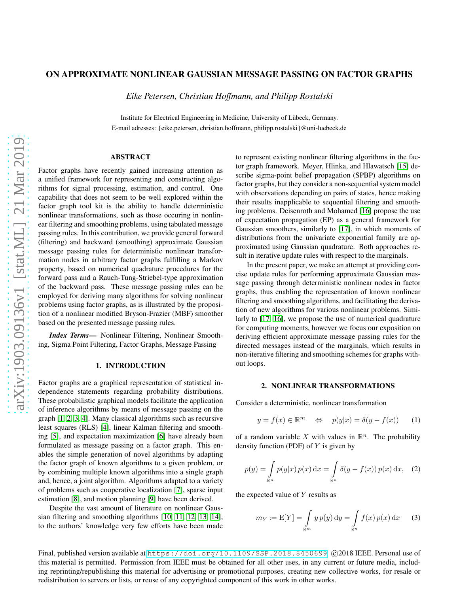# ON APPROXIMATE NONLINEAR GAUSSIAN MESSAGE PASSING ON FACTOR GRAPHS

*Eike Petersen, Christian Hoffmann, and Philipp Rostalski*

Institute for Electrical Engineering in Medicine, University of Lübeck, Germany. E-mail adresses: {eike.petersen, christian.hoffmann, philipp.rostalski}@uni-luebeck.de

# ABSTRACT

Factor graphs have recently gained increasing attention as a unified framework for representing and constructing algorithms for signal processing, estimation, and control. One capability that does not seem to be well explored within the factor graph tool kit is the ability to handle deterministic nonlinear transformations, such as those occuring in nonlinear filtering and smoothing problems, using tabulated message passing rules. In this contribution, we provide general forward (filtering) and backward (smoothing) approximate Gaussian message passing rules for deterministic nonlinear transformation nodes in arbitrary factor graphs fulfilling a Markov property, based on numerical quadrature procedures for the forward pass and a Rauch-Tung-Striebel-type approximation of the backward pass. These message passing rules can be employed for deriving many algorithms for solving nonlinear problems using factor graphs, as is illustrated by the proposition of a nonlinear modified Bryson-Frazier (MBF) smoother based on the presented message passing rules.

*Index Terms*— Nonlinear Filtering, Nonlinear Smoothing, Sigma Point Filtering, Factor Graphs, Message Passing

### 1. INTRODUCTION

Factor graphs are a graphical representation of statistical independence statements regarding probability distributions. These probabilistic graphical models facilitate the application of inference algorithms by means of message passing on the graph [\[1,](#page-4-0) [2,](#page-4-1) [3,](#page-4-2) [4\]](#page-4-3). Many classical algorithms such as recursive least squares (RLS) [\[4\]](#page-4-3), linear Kalman filtering and smoothing [\[5\]](#page-4-4), and expectation maximization [\[6\]](#page-4-5) have already been formulated as message passing on a factor graph. This enables the simple generation of novel algorithms by adapting the factor graph of known algorithms to a given problem, or by combining multiple known algorithms into a single graph and, hence, a joint algorithm. Algorithms adapted to a variety of problems such as cooperative localization [\[7\]](#page-4-6), sparse input estimation [\[8\]](#page-4-7), and motion planning [\[9\]](#page-4-8) have been derived.

Despite the vast amount of literature on nonlinear Gaussian filtering and smoothing algorithms [\[10,](#page-4-9) [11,](#page-4-10) [12,](#page-4-11) [13,](#page-4-12) [14\]](#page-4-13), to the authors' knowledge very few efforts have been made to represent existing nonlinear filtering algorithms in the factor graph framework. Meyer, Hlinka, and Hlawatsch [\[15\]](#page-4-14) describe sigma-point belief propagation (SPBP) algorithms on factor graphs, but they consider a non-sequential system model with observations depending on pairs of states, hence making their results inapplicable to sequential filtering and smoothing problems. Deisenroth and Mohamed [\[16\]](#page-4-15) propose the use of expectation propagation (EP) as a general framework for Gaussian smoothers, similarly to [\[17\]](#page-4-16), in which moments of distributions from the univariate exponential family are approximated using Gaussian quadrature. Both approaches result in iterative update rules with respect to the marginals.

In the present paper, we make an attempt at providing concise update rules for performing approximate Gaussian message passing through deterministic nonlinear nodes in factor graphs, thus enabling the representation of known nonlinear filtering and smoothing algorithms, and facilitating the derivation of new algorithms for various nonlinear problems. Similarly to [\[17,](#page-4-16) [16\]](#page-4-15), we propose the use of numerical quadrature for computing moments, however we focus our exposition on deriving efficient approximate message passing rules for the directed messages instead of the marginals, which results in non-iterative filtering and smoothing schemes for graphs without loops.

#### 2. NONLINEAR TRANSFORMATIONS

Consider a deterministic, nonlinear transformation

<span id="page-0-1"></span>
$$
y = f(x) \in \mathbb{R}^m \quad \Leftrightarrow \quad p(y|x) = \delta(y - f(x)) \tag{1}
$$

of a random variable X with values in  $\mathbb{R}^n$ . The probability density function (PDF) of  $Y$  is given by

$$
p(y) = \int_{\mathbb{R}^n} p(y|x) p(x) dx = \int_{\mathbb{R}^n} \delta(y - f(x)) p(x) dx, \quad (2)
$$

the expected value of  $Y$  results as

<span id="page-0-0"></span>
$$
m_Y := \mathbb{E}[Y] = \int_{\mathbb{R}^m} y \, p(y) \, \mathrm{d}y = \int_{\mathbb{R}^n} f(x) \, p(x) \, \mathrm{d}x \qquad (3)
$$

Final, published version available at <https://doi.org/10.1109/SSP.2018.8450699>. ©2018 IEEE. Personal use of this material is permitted. Permission from IEEE must be obtained for all other uses, in any current or future media, including reprinting/republishing this material for advertising or promotional purposes, creating new collective works, for resale or redistribution to servers or lists, or reuse of any copyrighted component of this work in other works.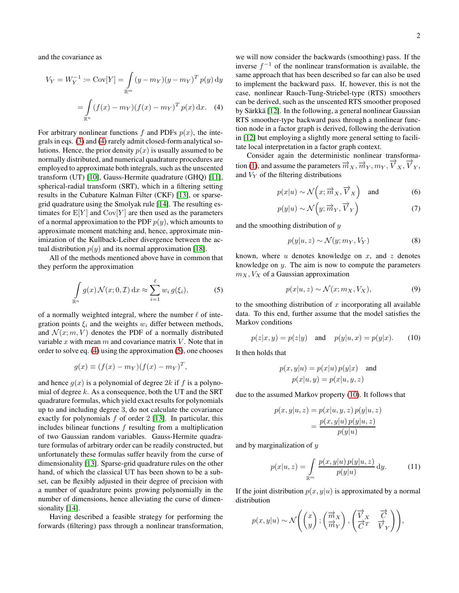and the covariance as

$$
V_Y = W_Y^{-1} := \text{Cov}[Y] = \int_{\mathbb{R}^m} (y - m_Y)(y - m_Y)^T p(y) \, dy
$$

$$
= \int_{\mathbb{R}^n} (f(x) - m_Y)(f(x) - m_Y)^T p(x) \, dx. \tag{4}
$$

For arbitrary nonlinear functions f and PDFs  $p(x)$ , the integrals in eqs. [\(3\)](#page-0-0) and [\(4\)](#page-1-0) rarely admit closed-form analytical solutions. Hence, the prior density  $p(x)$  is usually assumed to be normally distributed, and numerical quadrature procedures are employed to approximate both integrals, such as the unscented transform (UT) [\[10\]](#page-4-9), Gauss-Hermite quadrature (GHQ) [\[11\]](#page-4-10), spherical-radial transform (SRT), which in a filtering setting results in the Cubature Kalman Filter (CKF) [\[13\]](#page-4-12), or sparsegrid quadrature using the Smolyak rule [\[14\]](#page-4-13). The resulting estimates for  $E[Y]$  and  $Cov[Y]$  are then used as the parameters of a normal approximation to the PDF  $p(y)$ , which amounts to approximate moment matching and, hence, approximate minimization of the Kullback-Leiber divergence between the actual distribution  $p(y)$  and its normal approximation [\[18\]](#page-4-17).

All of the methods mentioned above have in common that they perform the approximation

<span id="page-1-1"></span>
$$
\int_{\mathbb{R}^n} g(x) \mathcal{N}(x; 0, \mathcal{I}) \, dx \approx \sum_{i=1}^{\ell} w_i g(\xi_i), \tag{5}
$$

of a normally weighted integral, where the number  $\ell$  of integration points  $\xi_i$  and the weights  $w_i$  differ between methods, and  $\mathcal{N}(x; m, V)$  denotes the PDF of a normally distributed variable  $x$  with mean  $m$  and covariance matrix  $V$ . Note that in order to solve eq. [\(4\)](#page-1-0) using the approximation [\(5\)](#page-1-1), one chooses

$$
g(x) \equiv (f(x) - m_Y)(f(x) - m_Y)^T,
$$

and hence  $g(x)$  is a polynomial of degree 2k if f is a polynomial of degree  $k$ . As a consequence, both the UT and the SRT quadrature formulas, which yield exact results for polynomials up to and including degree 3, do not calculate the covariance exactly for polynomials  $f$  of order 2 [\[13\]](#page-4-12). In particular, this includes bilinear functions  $f$  resulting from a multiplication of two Gaussian random variables. Gauss-Hermite quadrature formulas of arbitrary order can be readily constructed, but unfortunately these formulas suffer heavily from the curse of dimensionality [\[13\]](#page-4-12). Sparse-grid quadrature rules on the other hand, of which the classical UT has been shown to be a subset, can be flexibly adjusted in their degree of precision with a number of quadrature points growing polynomially in the number of dimensions, hence alleviating the curse of dimen-sionality [\[14\]](#page-4-13).

Having described a feasible strategy for performing the forwards (filtering) pass through a nonlinear transformation, <span id="page-1-0"></span>we will now consider the backwards (smoothing) pass. If the inverse  $f^{-1}$  of the nonlinear transformation is available, the same approach that has been described so far can also be used to implement the backward pass. If, however, this is not the case, nonlinear Rauch-Tung-Striebel-type (RTS) smoothers can be derived, such as the unscented RTS smoother proposed by Särkkä [\[12\]](#page-4-11). In the following, a general nonlinear Gaussian RTS smoother-type backward pass through a nonlinear function node in a factor graph is derived, following the derivation in [\[12\]](#page-4-11) but employing a slightly more general setting to facilitate local interpretation in a factor graph context.

Consider again the deterministic nonlinear transforma-tion [\(1\)](#page-0-1), and assume the parameters  $\vec{m}_X$ ,  $\vec{m}_Y$ ,  $m_Y$ ,  $\vec{V}_X$ ,  $\vec{V}_Y$ , and  $V<sub>Y</sub>$  of the filtering distributions

$$
p(x|u) \sim \mathcal{N}\left(x; \overrightarrow{m}_X, \overrightarrow{V}_X\right)
$$
 and (6)

$$
p(y|u) \sim \mathcal{N}\left(y; \overrightarrow{m}_Y, \overrightarrow{V}_Y\right) \tag{7}
$$

and the smoothing distribution of y

<span id="page-1-4"></span>
$$
p(y|u, z) \sim \mathcal{N}(y; m_Y, V_Y)
$$
 (8)

known, where  $u$  denotes knowledge on  $x$ , and  $z$  denotes knowledge on  $y$ . The aim is now to compute the parameters  $m_X$ ,  $V_X$  of a Gaussian approximation

<span id="page-1-5"></span>
$$
p(x|u, z) \sim \mathcal{N}(x; m_X, V_X), \tag{9}
$$

to the smoothing distribution of  $x$  incorporating all available data. To this end, further assume that the model satisfies the Markov conditions

<span id="page-1-2"></span>
$$
p(z|x, y) = p(z|y)
$$
 and  $p(y|u, x) = p(y|x)$ . (10)

It then holds that

$$
p(x, y|u) = p(x|u) p(y|x)
$$
 and  

$$
p(x|u, y) = p(x|u, y, z)
$$

due to the assumed Markov property [\(10\)](#page-1-2). It follows that

$$
p(x, y | u, z) = p(x | u, y, z) p(y | u, z)
$$

$$
= \frac{p(x, y | u) p(y | u, z)}{p(y | u)}
$$

and by marginalization of y

<span id="page-1-3"></span>
$$
p(x|u, z) = \int_{\mathbb{R}^m} \frac{p(x, y|u) p(y|u, z)}{p(y|u)} dy.
$$
 (11)

−→<sup>V</sup> <sup>X</sup>

−→C

If the joint distribution  $p(x, y|u)$  is approximated by a normal distribution

$$
p(x,y|u) \sim \mathcal{N}\left(\begin{pmatrix}x\\y\end{pmatrix}; \begin{pmatrix}\overrightarrow{m}_X\\\overrightarrow{m}_Y\end{pmatrix}, \begin{pmatrix}\overrightarrow{V}_X & \overrightarrow{C}\\ \overrightarrow{C}^T & \overrightarrow{V}_Y\end{pmatrix}\right),\,
$$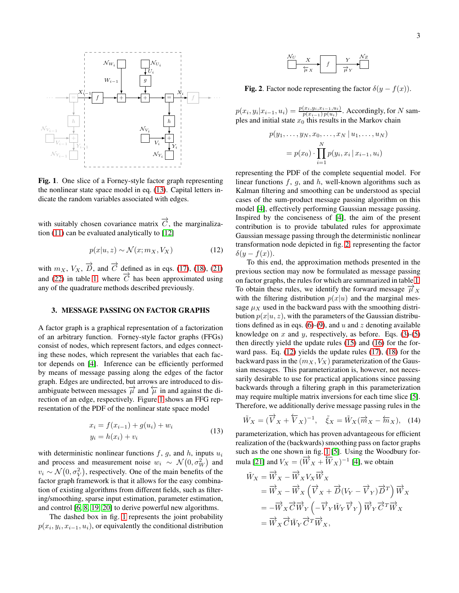

<span id="page-2-1"></span>Fig. 1. One slice of a Forney-style factor graph representing the nonlinear state space model in eq. [\(13\)](#page-2-0). Capital letters indicate the random variables associated with edges.

with suitably chosen covariance matrix  $\overrightarrow{C}$ , the marginalization [\(11\)](#page-1-3) can be evaluated analytically to [\[12\]](#page-4-11)

<span id="page-2-3"></span>
$$
p(x|u, z) \sim \mathcal{N}(x; m_X, V_X)
$$
 (12)

with  $m_X$ ,  $V_X$ ,  $\overrightarrow{D}$ , and  $\overrightarrow{C}$  defined as in eqs. [\(17\)](#page-3-0), [\(18\)](#page-3-1), [\(21\)](#page-3-2) and [\(22\)](#page-3-3) in table [1,](#page-3-4) where  $\overrightarrow{C}$  has been approximated using any of the quadrature methods described previously.

## 3. MESSAGE PASSING ON FACTOR GRAPHS

A factor graph is a graphical representation of a factorization of an arbitrary function. Forney-style factor graphs (FFGs) consist of nodes, which represent factors, and edges connecting these nodes, which represent the variables that each factor depends on [\[4\]](#page-4-3). Inference can be efficiently performed by means of message passing along the edges of the factor graph. Edges are undirected, but arrows are introduced to disambiguate between messages  $\overrightarrow{\mu}$  and  $\overleftarrow{\mu}$  in and against the direction of an edge, respectively. Figure [1](#page-2-1) shows an FFG representation of the PDF of the nonlinear state space model

<span id="page-2-0"></span>
$$
x_i = f(x_{i-1}) + g(u_i) + w_i
$$
  
\n
$$
y_i = h(x_i) + v_i
$$
\n(13)

with deterministic nonlinear functions  $f$ ,  $g$ , and  $h$ , inputs  $u_i$ and process and measurement noise  $w_i \sim \mathcal{N}(0, \sigma_W^2)$  and  $v_i \sim \mathcal{N}(0, \sigma_V^2)$ , respectively. One of the main benefits of the factor graph framework is that it allows for the easy combination of existing algorithms from different fields, such as filtering/smoothing, sparse input estimation, parameter estimation, and control [\[6,](#page-4-5) [8,](#page-4-7) [19,](#page-4-18) [20\]](#page-4-19) to derive powerful new algorithms.

The dashed box in fig. [1](#page-2-1) represents the joint probability  $p(x_i, y_i, x_{i-1}, u_i)$ , or equivalently the conditional distribution

$$
\begin{array}{c|c}\nN_U & X \\
\hline\n\overleftarrow{\mu}_X & f\n\end{array}
$$

<span id="page-2-2"></span>**Fig. 2.** Factor node representing the factor  $\delta(y - f(x))$ .

 $p(x_i, y_i | x_{i-1}, u_i) = \frac{p(x_i, y_i, x_{i-1}, u_i)}{p(x_{i-1}) p(u_i)}$ . Accordingly, for N samples and initial state  $x_0$  this results in the Markov chain

$$
p(y_1, ..., y_N, x_0, ..., x_N | u_1, ..., u_N)
$$
  
=  $p(x_0) \cdot \prod_{i=1}^N p(y_i, x_i | x_{i-1}, u_i)$ 

representing the PDF of the complete sequential model. For linear functions  $f$ ,  $g$ , and  $h$ , well-known algorithms such as Kalman filtering and smoothing can be understood as special cases of the sum-product message passing algorithm on this model [\[4\]](#page-4-3), effectively performing Gaussian message passing. Inspired by the conciseness of [\[4\]](#page-4-3), the aim of the present contribution is to provide tabulated rules for approximate Gaussian message passing through the deterministic nonlinear transformation node depicted in fig. [2,](#page-2-2) representing the factor  $\delta(y-f(x)).$ 

To this end, the approximation methods presented in the previous section may now be formulated as message passing on factor graphs, the rules for which are summarized in table [1.](#page-3-4) To obtain these rules, we identify the forward message  $\overrightarrow{\mu}_X$ with the filtering distribution  $p(x|u)$  and the marginal message  $\mu_X$  used in the backward pass with the smoothing distribution  $p(x|u, z)$ , with the parameters of the Gaussian distribu-tions defined as in eqs. [\(6\)](#page-1-4)-[\(9\)](#page-1-5), and u and z denoting available knowledge on  $x$  and  $y$ , respectively, as before. Eqs. [\(3\)](#page-0-0)-[\(5\)](#page-1-1) then directly yield the update rules [\(15\)](#page-3-5) and [\(16\)](#page-3-6) for the forward pass. Eq. [\(12\)](#page-2-3) yields the update rules [\(17\)](#page-3-0), [\(18\)](#page-3-1) for the backward pass in the  $(m_X, V_X)$  parameterization of the Gaussian messages. This parameterization is, however, not necessarily desirable to use for practical applications since passing backwards through a filtering graph in this parameterization may require multiple matrix inversions for each time slice [\[5\]](#page-4-4). Therefore, we additionally derive message passing rules in the

$$
\tilde{W}_X = (\overrightarrow{V}_X + \overleftarrow{V}_X)^{-1}, \quad \tilde{\xi}_X = \tilde{W}_X(\overrightarrow{m}_X - \overleftarrow{m}_X), \quad (14)
$$

parameterization, which has proven advantageous for efficient realization of the (backwards) smoothing pass on factor graphs such as the one shown in fig. [1](#page-2-1) [\[5\]](#page-4-4). Using the Woodbury for-mula [\[21\]](#page-4-20) and  $V_X = (\overline{W}_X + \overline{W}_X)^{-1}$  [\[4\]](#page-4-3), we obtain

$$
\tilde{W}_X = \overrightarrow{W}_X - \overrightarrow{W}_X V_X \overrightarrow{W}_X \n= \overrightarrow{W}_X - \overrightarrow{W}_X (\overrightarrow{V}_X + \overrightarrow{D}(V_Y - \overrightarrow{V}_Y) \overrightarrow{D}^T) \overrightarrow{W}_X \n= -\overrightarrow{W}_X \overrightarrow{C} \overrightarrow{W}_Y (-\overrightarrow{V}_Y \overrightarrow{W}_Y \overrightarrow{V}_Y) \overrightarrow{W}_Y \overrightarrow{C}^T \overrightarrow{W}_X \n= \overrightarrow{W}_X \overrightarrow{C} \overrightarrow{W}_Y \overrightarrow{C}^T \overrightarrow{W}_X,
$$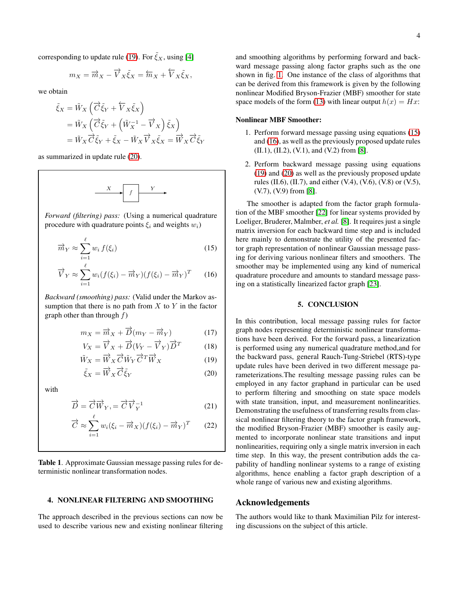corresponding to update rule [\(19\)](#page-3-7). For  $\tilde{\xi}_X$ , using [\[4\]](#page-4-3)

$$
m_X = \overrightarrow{m}_X - \overrightarrow{V}_X \tilde{\xi}_X = \overleftarrow{m}_X + \overleftarrow{V}_X \tilde{\xi}_X,
$$

we obtain

$$
\begin{aligned}\n\tilde{\xi}_X &= \tilde{W}_X \left( \overrightarrow{C} \tilde{\xi}_Y + \overleftarrow{V}_X \tilde{\xi}_X \right) \\
&= \tilde{W}_X \left( \overrightarrow{C} \tilde{\xi}_Y + \left( \tilde{W}_X^{-1} - \overrightarrow{V}_X \right) \tilde{\xi}_X \right) \\
&= \tilde{W}_X \overrightarrow{C} \tilde{\xi}_Y + \tilde{\xi}_X - \tilde{W}_X \overrightarrow{V}_X \tilde{\xi}_X = \overrightarrow{W}_X \overrightarrow{C} \tilde{\xi}_Y\n\end{aligned}
$$

as summarized in update rule [\(20\)](#page-3-8).



*Forward (filtering) pass:* (Using a numerical quadrature procedure with quadrature points  $\xi_i$  and weights  $w_i$ )

$$
\overrightarrow{m}_Y \approx \sum_{i=1}^{\ell} w_i f(\xi_i)
$$
 (15)

$$
\overrightarrow{V}_Y \approx \sum_{i=1}^{\ell} w_i (f(\xi_i) - \overrightarrow{m}_Y) (f(\xi_i) - \overrightarrow{m}_Y)^T
$$
 (16)

*Backward (smoothing) pass:* (Valid under the Markov assumption that there is no path from  $X$  to  $Y$  in the factor graph other than through  $f$ )

$$
m_X = \overrightarrow{m}_X + \overrightarrow{D}(m_Y - \overrightarrow{m}_Y)
$$
 (17)

$$
V_X = \overrightarrow{V}_X + \overrightarrow{D}(V_Y - \overrightarrow{V}_Y)\overrightarrow{D}^T
$$
 (18)

$$
\tilde{W}_X = \overrightarrow{W}_X \overrightarrow{C} \tilde{W}_Y \overrightarrow{C}^T \overrightarrow{W}_X \tag{19}
$$

$$
\tilde{\xi}_X = \overrightarrow{W}_X \overrightarrow{C} \tilde{\xi}_Y
$$
\n(20)

with

$$
\overrightarrow{D} = \overrightarrow{C} \overrightarrow{W}_Y = \overrightarrow{C} \overrightarrow{V}_Y^{-1}
$$
 (21)

$$
\overrightarrow{C} \approx \sum_{i=1}^{\ell} w_i (\xi_i - \overrightarrow{m}_X)(f(\xi_i) - \overrightarrow{m}_Y)^T
$$
 (22)

<span id="page-3-4"></span>Table 1. Approximate Gaussian message passing rules for deterministic nonlinear transformation nodes.

## 4. NONLINEAR FILTERING AND SMOOTHING

The approach described in the previous sections can now be used to describe various new and existing nonlinear filtering and smoothing algorithms by performing forward and backward message passing along factor graphs such as the one shown in fig. [1.](#page-2-1) One instance of the class of algorithms that can be derived from this framework is given by the following nonlinear Modified Bryson-Frazier (MBF) smoother for state space models of the form [\(13\)](#page-2-0) with linear output  $h(x) = Hx$ :

## Nonlinear MBF Smoother:

- 1. Perform forward message passing using equations [\(15\)](#page-3-5) and [\(16\)](#page-3-6), as well as the previously proposed update rules (II.1), (II.2), (V.1), and (V.2) from [\[8\]](#page-4-7).
- 2. Perform backward message passing using equations [\(19\)](#page-3-7) and [\(20\)](#page-3-8) as well as the previously proposed update rules (II.6), (II.7), and either (V.4), (V.6), (V.8) or (V.5), (V.7), (V.9) from [\[8\]](#page-4-7).

<span id="page-3-5"></span>The smoother is adapted from the factor graph formulation of the MBF smoother [\[22\]](#page-4-21) for linear systems provided by Loeliger, Bruderer, Malmber, *et al.* [\[8\]](#page-4-7). It requires just a single matrix inversion for each backward time step and is included here mainly to demonstrate the utility of the presented factor graph representation of nonlinear Gaussian message passing for deriving various nonlinear filters and smoothers. The smoother may be implemented using any kind of numerical quadrature procedure and amounts to standard message passing on a statistically linearized factor graph [\[23\]](#page-4-22).

### 5. CONCLUSION

<span id="page-3-8"></span><span id="page-3-7"></span><span id="page-3-6"></span><span id="page-3-2"></span><span id="page-3-1"></span><span id="page-3-0"></span>In this contribution, local message passing rules for factor graph nodes representing deterministic nonlinear transformations have been derived. For the forward pass, a linearization is performed using any numerical quadrature method,and for the backward pass, general Rauch-Tung-Striebel (RTS)-type update rules have been derived in two different message parameterizations.The resulting message passing rules can be employed in any factor graphand in particular can be used to perform filtering and smoothing on state space models with state transition, input, and measurement nonlinearities. Demonstrating the usefulness of transferring results from classical nonlinear filtering theory to the factor graph framework, the modified Bryson-Frazier (MBF) smoother is easily augmented to incorporate nonlinear state transitions and input nonlinearities, requiring only a single matrix inversion in each time step. In this way, the present contribution adds the capability of handling nonlinear systems to a range of existing algorithms, hence enabling a factor graph description of a whole range of various new and existing algorithms.

# <span id="page-3-3"></span>Acknowledgements

The authors would like to thank Maximilian Pilz for interesting discussions on the subject of this article.